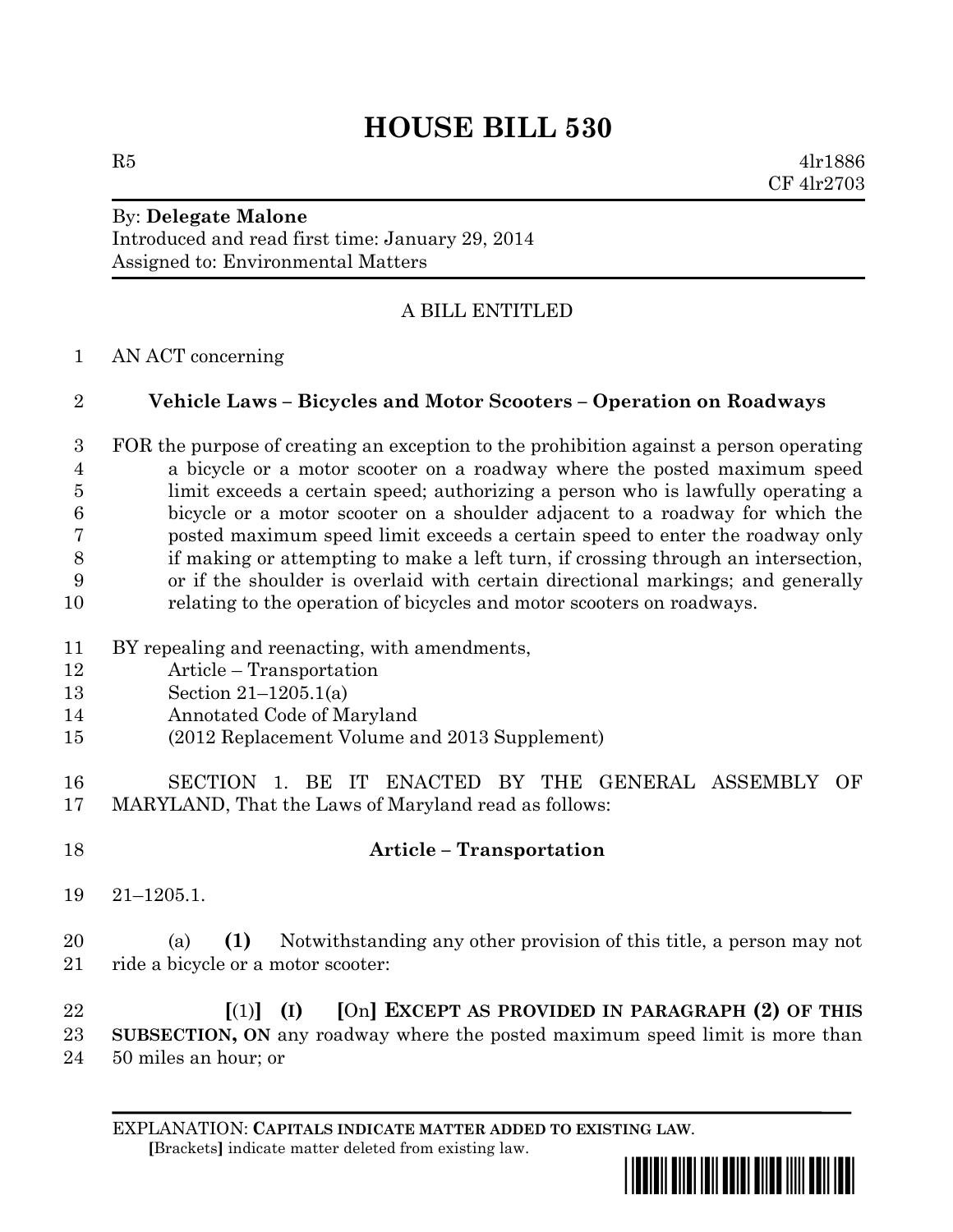# **HOUSE BILL 530**

 $R5$  4lr1886 CF 4lr2703

#### By: **Delegate Malone** Introduced and read first time: January 29, 2014 Assigned to: Environmental Matters

## A BILL ENTITLED

AN ACT concerning

#### **Vehicle Laws – Bicycles and Motor Scooters – Operation on Roadways**

 FOR the purpose of creating an exception to the prohibition against a person operating a bicycle or a motor scooter on a roadway where the posted maximum speed limit exceeds a certain speed; authorizing a person who is lawfully operating a bicycle or a motor scooter on a shoulder adjacent to a roadway for which the posted maximum speed limit exceeds a certain speed to enter the roadway only if making or attempting to make a left turn, if crossing through an intersection, or if the shoulder is overlaid with certain directional markings; and generally relating to the operation of bicycles and motor scooters on roadways.

- BY repealing and reenacting, with amendments,
- Article Transportation
- Section 21–1205.1(a)
- Annotated Code of Maryland
- (2012 Replacement Volume and 2013 Supplement)
- SECTION 1. BE IT ENACTED BY THE GENERAL ASSEMBLY OF MARYLAND, That the Laws of Maryland read as follows:
- 

### **Article – Transportation**

21–1205.1.

 (a) **(1)** Notwithstanding any other provision of this title, a person may not 21 ride a bicycle or a motor scooter:

 **[**(1)**] (I) [**On**] EXCEPT AS PROVIDED IN PARAGRAPH (2) OF THIS SUBSECTION, ON** any roadway where the posted maximum speed limit is more than 50 miles an hour; or

EXPLANATION: **CAPITALS INDICATE MATTER ADDED TO EXISTING LAW**.  **[**Brackets**]** indicate matter deleted from existing law.